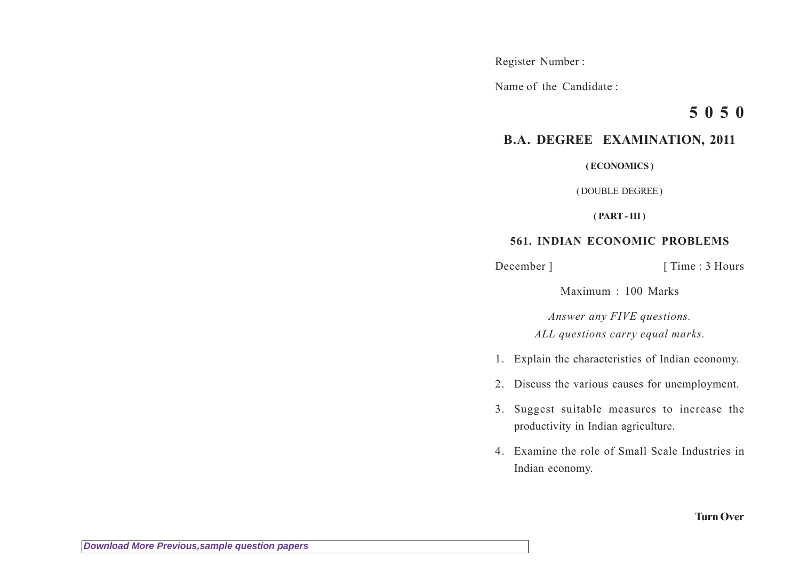Register Number :

Name of the Candidate :

## **5 0 5 0**

## **B.A. DEGREE EXAMINATION, 2011**

**( ECONOMICS )**

( DOUBLE DEGREE )

**( PART - III )**

## **561. INDIAN ECONOMIC PROBLEMS**

December ] [ Time : 3 Hours

Maximum : 100 Marks

*Answer any FIVE questions. ALL questions carry equal marks.*

- 1. Explain the characteristics of Indian economy.
- 2. Discuss the various causes for unemployment.
- 3. Suggest suitable measures to increase the productivity in Indian agriculture.
- 4. Examine the role of Small Scale Industries in Indian economy.